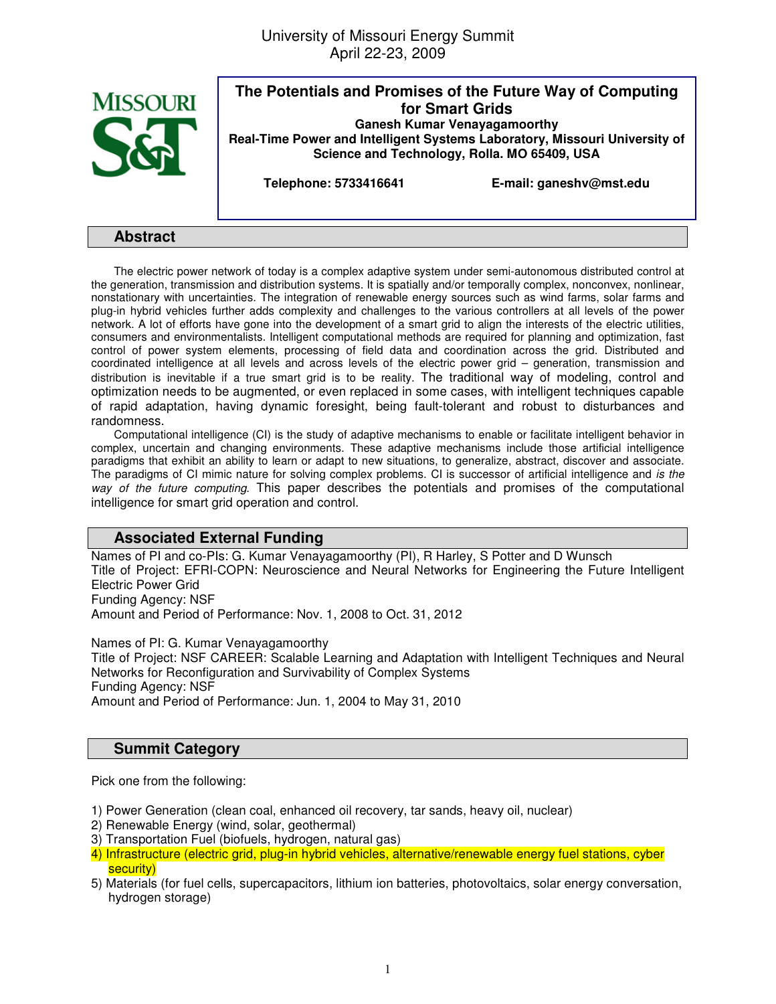University of Missouri Energy Summit April 22-23, 2009



**The Potentials and Promises of the Future Way of Computing for Smart Grids Ganesh Kumar Venayagamoorthy Real-Time Power and Intelligent Systems Laboratory, Missouri University of Science and Technology, Rolla. MO 65409, USA** 

**Telephone: 5733416641 E-mail: ganeshv@mst.edu** 

## **Abstract**

The electric power network of today is a complex adaptive system under semi-autonomous distributed control at the generation, transmission and distribution systems. It is spatially and/or temporally complex, nonconvex, nonlinear, nonstationary with uncertainties. The integration of renewable energy sources such as wind farms, solar farms and plug-in hybrid vehicles further adds complexity and challenges to the various controllers at all levels of the power network. A lot of efforts have gone into the development of a smart grid to align the interests of the electric utilities, consumers and environmentalists. Intelligent computational methods are required for planning and optimization, fast control of power system elements, processing of field data and coordination across the grid. Distributed and coordinated intelligence at all levels and across levels of the electric power grid – generation, transmission and distribution is inevitable if a true smart grid is to be reality. The traditional way of modeling, control and optimization needs to be augmented, or even replaced in some cases, with intelligent techniques capable of rapid adaptation, having dynamic foresight, being fault-tolerant and robust to disturbances and randomness.

Computational intelligence (CI) is the study of adaptive mechanisms to enable or facilitate intelligent behavior in complex, uncertain and changing environments. These adaptive mechanisms include those artificial intelligence paradigms that exhibit an ability to learn or adapt to new situations, to generalize, abstract, discover and associate. The paradigms of CI mimic nature for solving complex problems. CI is successor of artificial intelligence and is the way of the future computing. This paper describes the potentials and promises of the computational intelligence for smart grid operation and control.

## **Associated External Funding**

Names of PI and co-PIs: G. Kumar Venayagamoorthy (PI), R Harley, S Potter and D Wunsch Title of Project: EFRI-COPN: Neuroscience and Neural Networks for Engineering the Future Intelligent Electric Power Grid Funding Agency: NSF

Amount and Period of Performance: Nov. 1, 2008 to Oct. 31, 2012

Names of PI: G. Kumar Venayagamoorthy

Title of Project: NSF CAREER: Scalable Learning and Adaptation with Intelligent Techniques and Neural Networks for Reconfiguration and Survivability of Complex Systems Funding Agency: NSF Amount and Period of Performance: Jun. 1, 2004 to May 31, 2010

## **Summit Category**

Pick one from the following:

1) Power Generation (clean coal, enhanced oil recovery, tar sands, heavy oil, nuclear)

- 2) Renewable Energy (wind, solar, geothermal)
- 3) Transportation Fuel (biofuels, hydrogen, natural gas)
- 4) Infrastructure (electric grid, plug-in hybrid vehicles, alternative/renewable energy fuel stations, cyber security)
- 5) Materials (for fuel cells, supercapacitors, lithium ion batteries, photovoltaics, solar energy conversation, hydrogen storage)